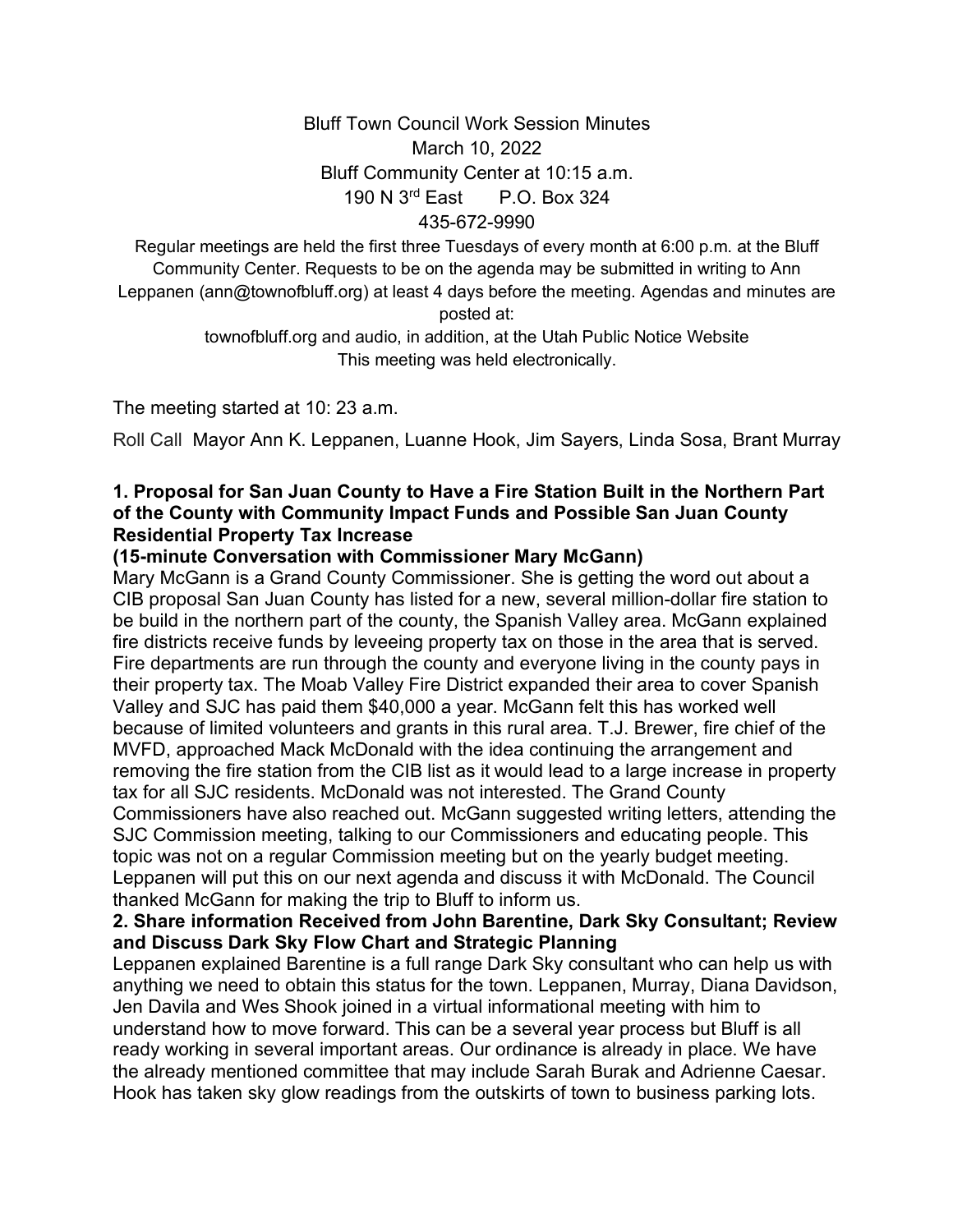# Bluff Town Council Work Session Minutes March 10, 2022 Bluff Community Center at 10:15 a.m. 190 N 3rd East P.O. Box 324 435-672-9990

Regular meetings are held the first three Tuesdays of every month at 6:00 p.m. at the Bluff Community Center. Requests to be on the agenda may be submitted in writing to Ann Leppanen (ann@townofbluff.org) at least 4 days before the meeting. Agendas and minutes are posted at:

> townofbluff.org and audio, in addition, at the Utah Public Notice Website This meeting was held electronically.

The meeting started at 10: 23 a.m.

Roll Call Mayor Ann K. Leppanen, Luanne Hook, Jim Sayers, Linda Sosa, Brant Murray

### **1. Proposal for San Juan County to Have a Fire Station Built in the Northern Part of the County with Community Impact Funds and Possible San Juan County Residential Property Tax Increase**

### **(15-minute Conversation with Commissioner Mary McGann)**

Mary McGann is a Grand County Commissioner. She is getting the word out about a CIB proposal San Juan County has listed for a new, several million-dollar fire station to be build in the northern part of the county, the Spanish Valley area. McGann explained fire districts receive funds by leveeing property tax on those in the area that is served. Fire departments are run through the county and everyone living in the county pays in their property tax. The Moab Valley Fire District expanded their area to cover Spanish Valley and SJC has paid them \$40,000 a year. McGann felt this has worked well because of limited volunteers and grants in this rural area. T.J. Brewer, fire chief of the MVFD, approached Mack McDonald with the idea continuing the arrangement and removing the fire station from the CIB list as it would lead to a large increase in property tax for all SJC residents. McDonald was not interested. The Grand County Commissioners have also reached out. McGann suggested writing letters, attending the SJC Commission meeting, talking to our Commissioners and educating people. This topic was not on a regular Commission meeting but on the yearly budget meeting. Leppanen will put this on our next agenda and discuss it with McDonald. The Council thanked McGann for making the trip to Bluff to inform us.

### **2. Share information Received from John Barentine, Dark Sky Consultant; Review and Discuss Dark Sky Flow Chart and Strategic Planning**

Leppanen explained Barentine is a full range Dark Sky consultant who can help us with anything we need to obtain this status for the town. Leppanen, Murray, Diana Davidson, Jen Davila and Wes Shook joined in a virtual informational meeting with him to understand how to move forward. This can be a several year process but Bluff is all ready working in several important areas. Our ordinance is already in place. We have the already mentioned committee that may include Sarah Burak and Adrienne Caesar. Hook has taken sky glow readings from the outskirts of town to business parking lots.